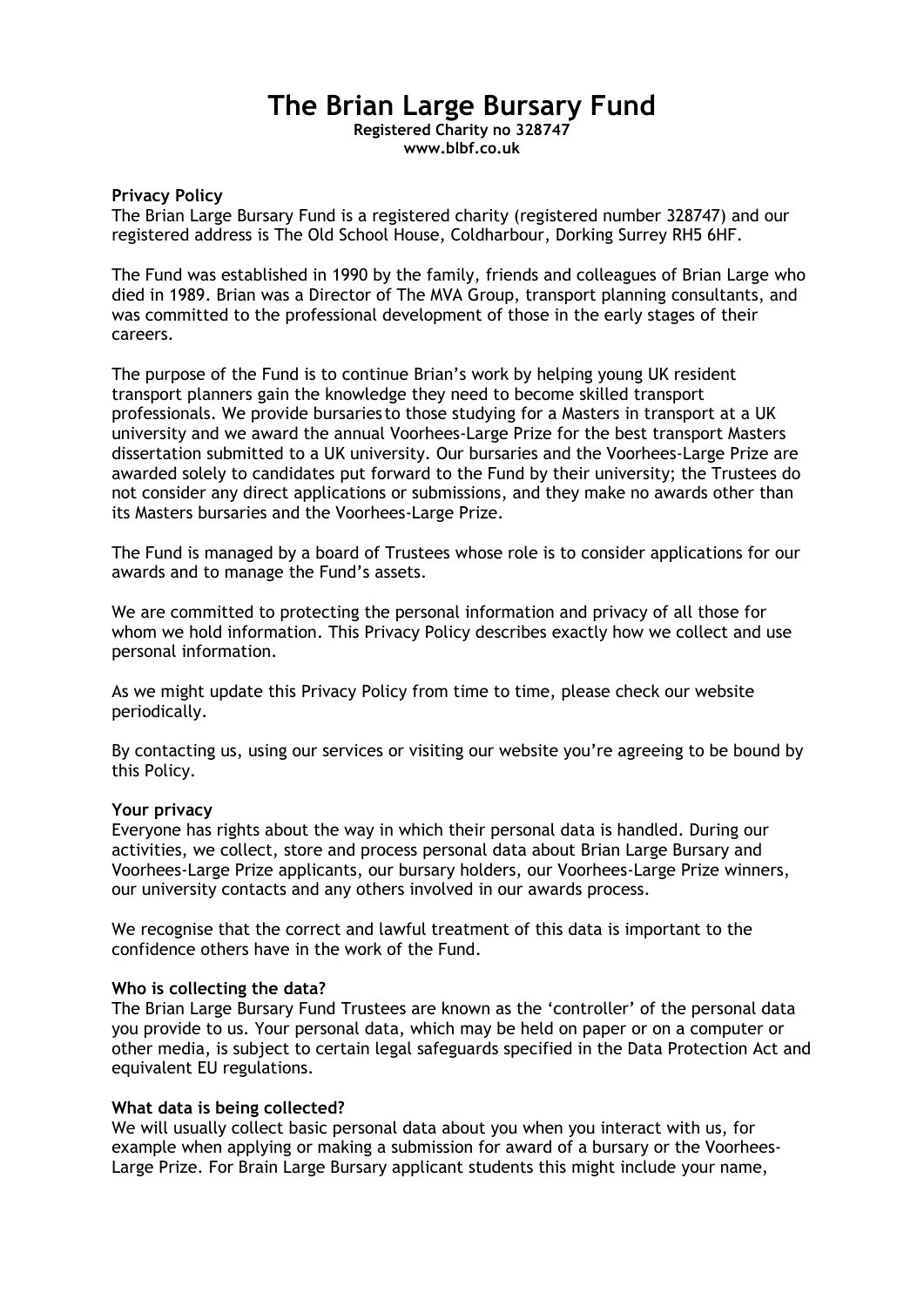# **The Brian Large Bursary Fund**

**Registered Charity no 328747 www.blbf.co.uk**

#### **Privacy Policy**

The Brian Large Bursary Fund is a registered charity (registered number 328747) and our registered address is The Old School House, Coldharbour, Dorking Surrey RH5 6HF.

The Fund was established in 1990 by the family, friends and colleagues of Brian Large who died in 1989. Brian was a Director of The MVA Group, transport planning consultants, and was committed to the professional development of those in the early stages of their careers.

The purpose of the Fund is to continue Brian's work by helping young UK resident transport planners gain the knowledge they need to become skilled transport professionals. We provide bursaries to those studying for a Masters in transport at a UK university and we award the annual Voorhees-Large Prize for the best transport Masters dissertation submitted to a UK university. Our bursaries and the Voorhees-Large Prize are awarded solely to candidates put forward to the Fund by their university; the Trustees do not consider any direct applications or submissions, and they make no awards other than its Masters bursaries and the Voorhees-Large Prize.

The Fund is managed by a board of Trustees whose role is to consider applications for our awards and to manage the Fund's assets.

We are committed to protecting the personal information and privacy of all those for whom we hold information. This Privacy Policy describes exactly how we collect and use personal information.

As we might update this Privacy Policy from time to time, please check our website periodically.

By contacting us, using our services or visiting our website you're agreeing to be bound by this Policy.

#### **Your privacy**

Everyone has rights about the way in which their personal data is handled. During our activities, we collect, store and process personal data about Brian Large Bursary and Voorhees-Large Prize applicants, our bursary holders, our Voorhees-Large Prize winners, our university contacts and any others involved in our awards process.

We recognise that the correct and lawful treatment of this data is important to the confidence others have in the work of the Fund.

#### **Who is collecting the data?**

The Brian Large Bursary Fund Trustees are known as the 'controller' of the personal data you provide to us. Your personal data, which may be held on paper or on a computer or other media, is subject to certain legal safeguards specified in the Data Protection Act and equivalent EU regulations.

#### **What data is being collected?**

We will usually collect basic personal data about you when you interact with us, for example when applying or making a submission for award of a bursary or the Voorhees-Large Prize. For Brain Large Bursary applicant students this might include your name,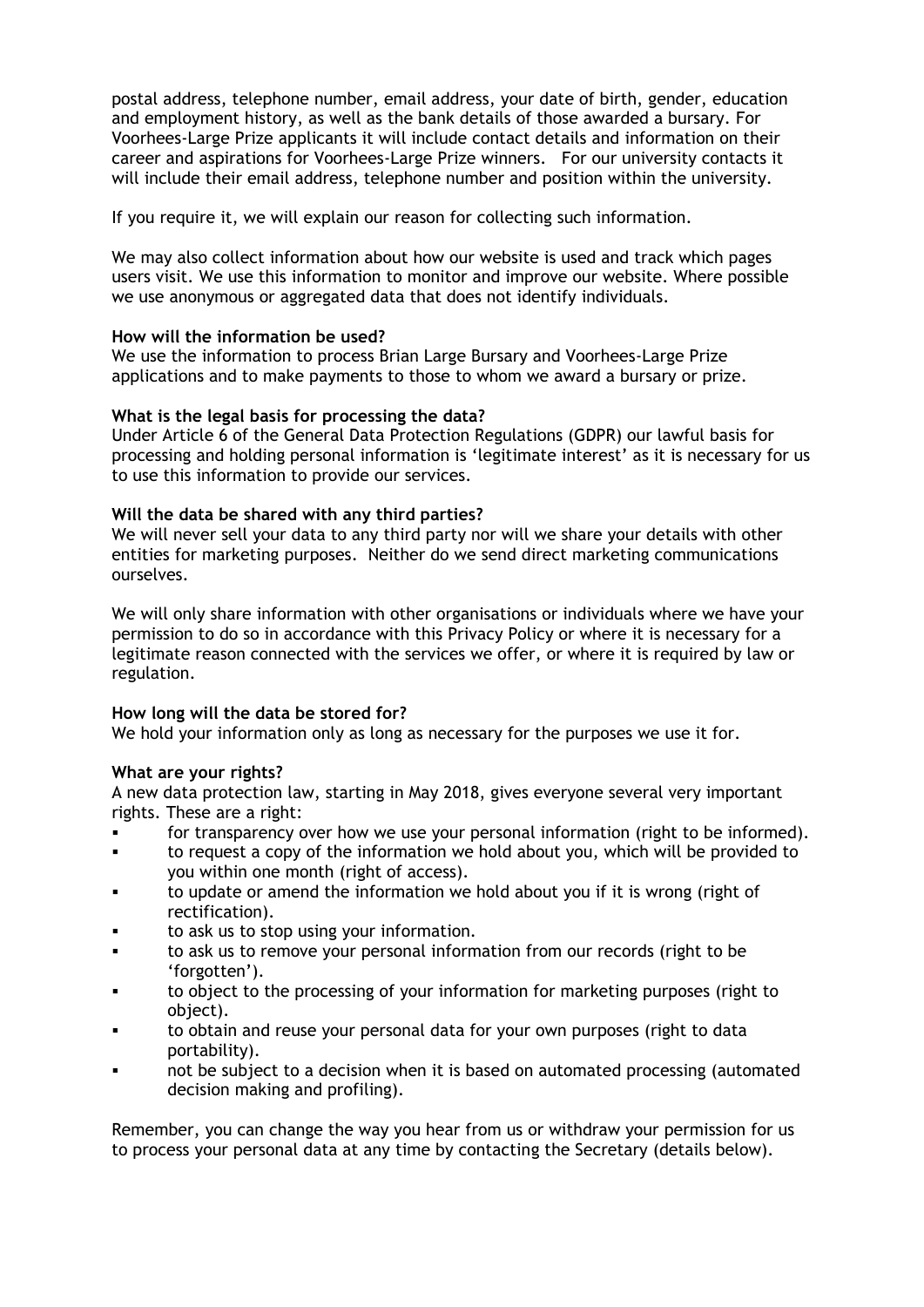postal address, telephone number, email address, your date of birth, gender, education and employment history, as well as the bank details of those awarded a bursary. For Voorhees-Large Prize applicants it will include contact details and information on their career and aspirations for Voorhees-Large Prize winners. For our university contacts it will include their email address, telephone number and position within the university.

If you require it, we will explain our reason for collecting such information.

We may also collect information about how our website is used and track which pages users visit. We use this information to monitor and improve our website. Where possible we use anonymous or aggregated data that does not identify individuals.

## **How will the information be used?**

We use the information to process Brian Large Bursary and Voorhees-Large Prize applications and to make payments to those to whom we award a bursary or prize.

## **What is the legal basis for processing the data?**

Under Article 6 of the General Data Protection Regulations (GDPR) our lawful basis for processing and holding personal information is 'legitimate interest' as it is necessary for us to use this information to provide our services.

## **Will the data be shared with any third parties?**

We will never sell your data to any third party nor will we share your details with other entities for marketing purposes. Neither do we send direct marketing communications ourselves.

We will only share information with other organisations or individuals where we have your permission to do so in accordance with this Privacy Policy or where it is necessary for a legitimate reason connected with the services we offer, or where it is required by law or regulation.

## **How long will the data be stored for?**

We hold your information only as long as necessary for the purposes we use it for.

#### **What are your rights?**

A new data protection law, starting in May 2018, gives everyone several very important rights. These are a right:

- for transparency over how we use your personal information (right to be informed).
- to request a copy of the information we hold about you, which will be provided to you within one month (right of access).
- to update or amend the information we hold about you if it is wrong (right of rectification).
- to ask us to stop using your information.
- to ask us to remove your personal information from our records (right to be 'forgotten').
- to object to the processing of your information for marketing purposes (right to object).
- to obtain and reuse your personal data for your own purposes (right to data portability).
- not be subject to a decision when it is based on automated processing (automated decision making and profiling).

Remember, you can change the way you hear from us or withdraw your permission for us to process your personal data at any time by contacting the Secretary (details below).